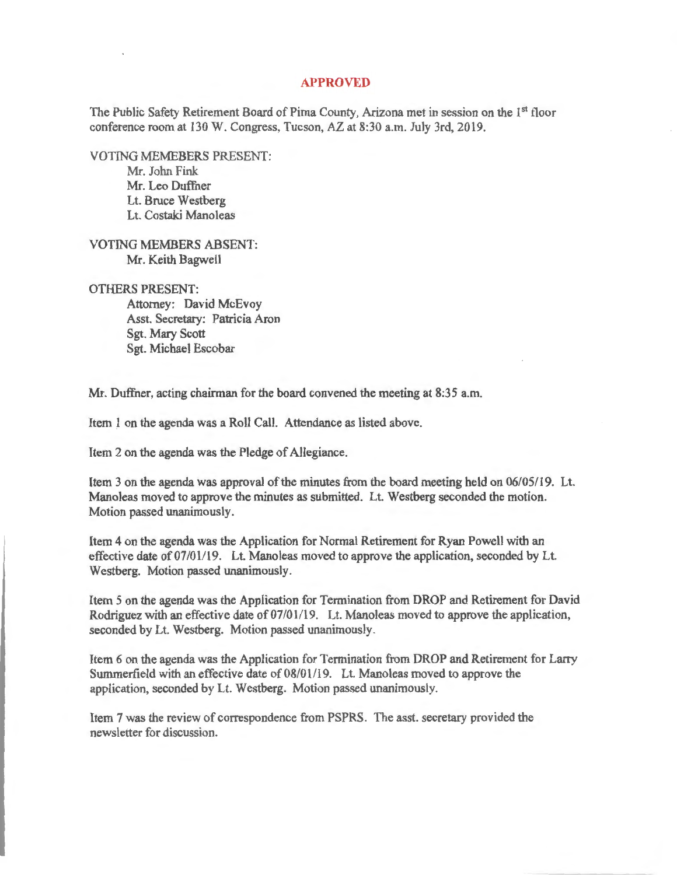## **APPROVED**

The Public Safety Retirement Board of Pima County, Arizona met in session on the 1<sup>st</sup> floor conference room at 130 W. Congress, Tucson, AZ at 8:30 a.m. July 3rd, 2019.

VOTING MEMEBERS PRESENT: Mr. John Fink Mr. Leo Duffner Lt. Bruce Westberg

Lt. Costaki Manoleas

VOTING MEMBERS ABSENT: Mr. Keith Bagwell

## OTHERS PRESENT:

Attorney: David McEvoy Asst. Secretary: Patricia Aron Sgt. Mary Scott Sgt. Michael Escobar

Mr. Duffner, acting chairman for the board convened the meeting at 8:35 a.m.

Item 1 on the agenda was a Roll Call. Attendance as listed above.

Item 2 on the agenda was the Pledge of Allegiance.

Item 3 on the agenda was approval of the minutes from the board meeting held on 06/05/19. Lt. Manoleas moved to approve the minutes as submitted. Lt. Westberg seconded the motion. Motion passed unanimously.

Item 4 on the agenda was the Application for Normal Retirement for Ryan Powell with an effective date of 07/01/19. Lt. Manoleas moved to approve the application, seconded by Lt. Westberg. Motion passed unanimously.

Item 5 on the agenda was the Application for Termination from DROP and Retirement for David Rodriguez with an effective date of 07/01/19. Lt. Manoleas moved to approve the application, seconded by Lt. Westberg. Motion passed unanimously.

Item 6 on the agenda was the Application for Termination from DROP and Retirement for Larry Summerfield with an effective date of 08/01/19. Lt. Manoleas moved to approve the application, seconded by Lt. Westberg. Motion passed unanimously.

Item 7 was the review of correspondence from PSPRS. The asst. secretary provided the newsletter for discussion.